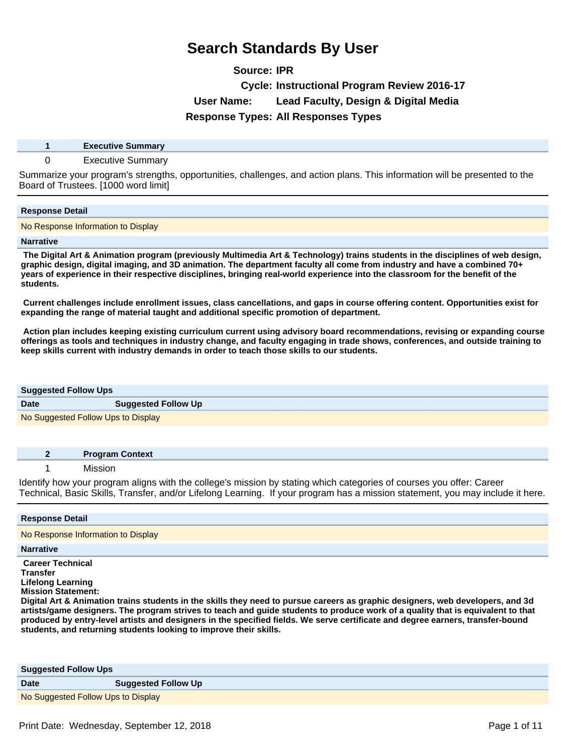# **Source: IPR Cycle: Instructional Program Review 2016-17 User Name: Lead Faculty, Design & Digital Media Response Types: All Responses Types**

**1 Executive Summary**

# 0 Executive Summary

Summarize your program's strengths, opportunities, challenges, and action plans. This information will be presented to the Board of Trustees. [1000 word limit]

### **Response Detail**

No Response Information to Display

### **Narrative**

 **The Digital Art & Animation program (previously Multimedia Art & Technology) trains students in the disciplines of web design, graphic design, digital imaging, and 3D animation. The department faculty all come from industry and have a combined 70+ years of experience in their respective disciplines, bringing real-world experience into the classroom for the benefit of the students.** 

 **Current challenges include enrollment issues, class cancellations, and gaps in course offering content. Opportunities exist for expanding the range of material taught and additional specific promotion of department.**

 **Action plan includes keeping existing curriculum current using advisory board recommendations, revising or expanding course offerings as tools and techniques in industry change, and faculty engaging in trade shows, conferences, and outside training to keep skills current with industry demands in order to teach those skills to our students.** 

| <b>Suggested Follow Ups</b>        |                            |
|------------------------------------|----------------------------|
| <b>Date</b>                        | <b>Suggested Follow Up</b> |
| No Suggested Follow Ups to Display |                            |

|  | <b>Program Context</b> |
|--|------------------------|
|  | чи.                    |

Identify how your program aligns with the college's mission by stating which categories of courses you offer: Career Technical, Basic Skills, Transfer, and/or Lifelong Learning. If your program has a mission statement, you may include it here.

| <b>Response Detail</b>                                                                                                                                                                                                                                                                                                                                                                                                                                                                                                                                                   |
|--------------------------------------------------------------------------------------------------------------------------------------------------------------------------------------------------------------------------------------------------------------------------------------------------------------------------------------------------------------------------------------------------------------------------------------------------------------------------------------------------------------------------------------------------------------------------|
| No Response Information to Display                                                                                                                                                                                                                                                                                                                                                                                                                                                                                                                                       |
| <b>Narrative</b>                                                                                                                                                                                                                                                                                                                                                                                                                                                                                                                                                         |
| <b>Career Technical</b><br><b>Transfer</b><br>Lifelong Learning<br><b>Mission Statement:</b><br>Digital Art & Animation trains students in the skills they need to pursue careers as graphic designers, web developers, and 3d<br>artists/game designers. The program strives to teach and guide students to produce work of a quality that is equivalent to that<br>produced by entry-level artists and designers in the specified fields. We serve certificate and degree earners, transfer-bound<br>students, and returning students looking to improve their skills. |

| <b>Suggested Follow Ups</b>        |                            |
|------------------------------------|----------------------------|
| <b>Date</b>                        | <b>Suggested Follow Up</b> |
| No Suggested Follow Ups to Display |                            |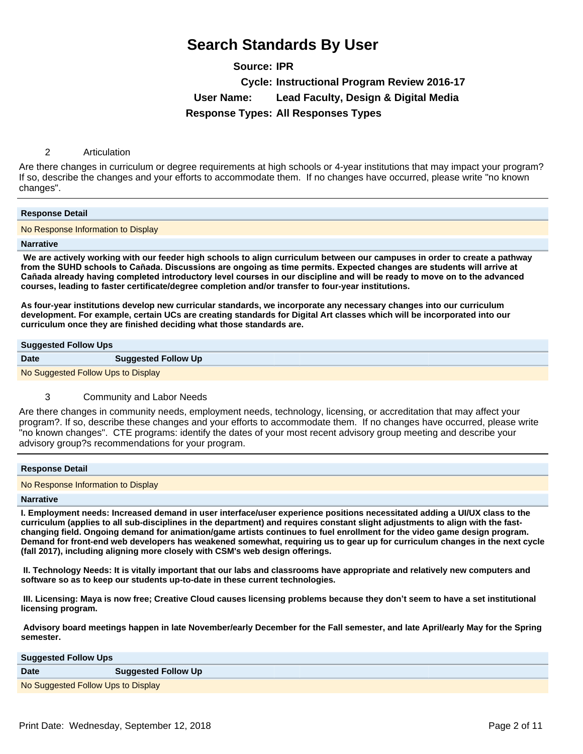**Source: IPR Cycle: Instructional Program Review 2016-17 User Name: Lead Faculty, Design & Digital Media Response Types: All Responses Types**

# 2 Articulation

Are there changes in curriculum or degree requirements at high schools or 4-year institutions that may impact your program? If so, describe the changes and your efforts to accommodate them. If no changes have occurred, please write "no known changes".

#### **Response Detail**

No Response Information to Display

#### **Narrative**

 **We are actively working with our feeder high schools to align curriculum between our campuses in order to create a pathway**  from the SUHD schools to Cañada. Discussions are ongoing as time permits. Expected changes are students will arrive at Cañada already having completed introductory level courses in our discipline and will be ready to move on to the advanced **courses, leading to faster certificate/degree completion and/or transfer to four-year institutions.**

**As four-year institutions develop new curricular standards, we incorporate any necessary changes into our curriculum development. For example, certain UCs are creating standards for Digital Art classes which will be incorporated into our curriculum once they are finished deciding what those standards are.** 

### **Suggested Follow Ups**

**Date Suggested Follow Up** No Suggested Follow Ups to Display

# 3 Community and Labor Needs

Are there changes in community needs, employment needs, technology, licensing, or accreditation that may affect your program?. If so, describe these changes and your efforts to accommodate them. If no changes have occurred, please write "no known changes". CTE programs: identify the dates of your most recent advisory group meeting and describe your advisory group?s recommendations for your program.

| <b>Response Detail</b>             |  |
|------------------------------------|--|
| No Response Information to Display |  |

#### **Narrative**

**I. Employment needs: Increased demand in user interface/user experience positions necessitated adding a UI/UX class to the curriculum (applies to all sub-disciplines in the department) and requires constant slight adjustments to align with the fastchanging field. Ongoing demand for animation/game artists continues to fuel enrollment for the video game design program. Demand for front-end web developers has weakened somewhat, requiring us to gear up for curriculum changes in the next cycle (fall 2017), including aligning more closely with CSM's web design offerings.**

 **II. Technology Needs: It is vitally important that our labs and classrooms have appropriate and relatively new computers and software so as to keep our students up-to-date in these current technologies.**

**III. Licensing: Maya is now free; Creative Cloud causes licensing problems because they don't seem to have a set institutional licensing program.**

 **Advisory board meetings happen in late November/early December for the Fall semester, and late April/early May for the Spring semester.** 

**Suggested Follow Ups**

| <b>Date</b>                        | <b>Suggested Follow Up</b> |
|------------------------------------|----------------------------|
| No Suggested Follow Ups to Display |                            |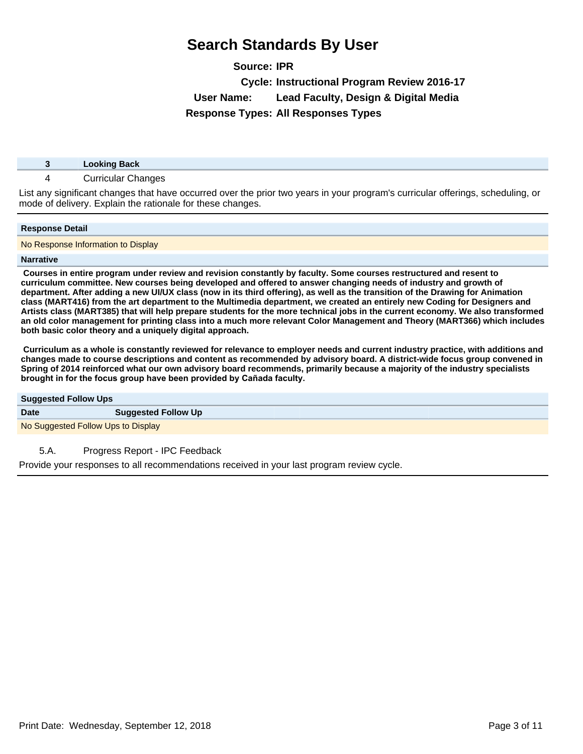**Source: IPR Cycle: Instructional Program Review 2016-17 User Name: Lead Faculty, Design & Digital Media Response Types: All Responses Types**

| <b>Looking Back</b> |
|---------------------|
|                     |

# 4 Curricular Changes

List any significant changes that have occurred over the prior two years in your program's curricular offerings, scheduling, or mode of delivery. Explain the rationale for these changes.

### **Response Detail**

No Response Information to Display

### **Narrative**

 **Courses in entire program under review and revision constantly by faculty. Some courses restructured and resent to curriculum committee. New courses being developed and offered to answer changing needs of industry and growth of department. After adding a new UI/UX class (now in its third offering), as well as the transition of the Drawing for Animation class (MART416) from the art department to the Multimedia department, we created an entirely new Coding for Designers and Artists class (MART385) that will help prepare students for the more technical jobs in the current economy. We also transformed an old color management for printing class into a much more relevant Color Management and Theory (MART366) which includes both basic color theory and a uniquely digital approach.**

 **Curriculum as a whole is constantly reviewed for relevance to employer needs and current industry practice, with additions and changes made to course descriptions and content as recommended by advisory board. A district-wide focus group convened in Spring of 2014 reinforced what our own advisory board recommends, primarily because a majority of the industry specialists EXAJRIM** brows group have been provided by Cañada faculty.

| <b>Suggested Follow Ups</b>        |                            |
|------------------------------------|----------------------------|
| <b>Date</b>                        | <b>Suggested Follow Up</b> |
| No Suggested Follow Ups to Display |                            |

# 5.A. Progress Report - IPC Feedback

Provide your responses to all recommendations received in your last program review cycle.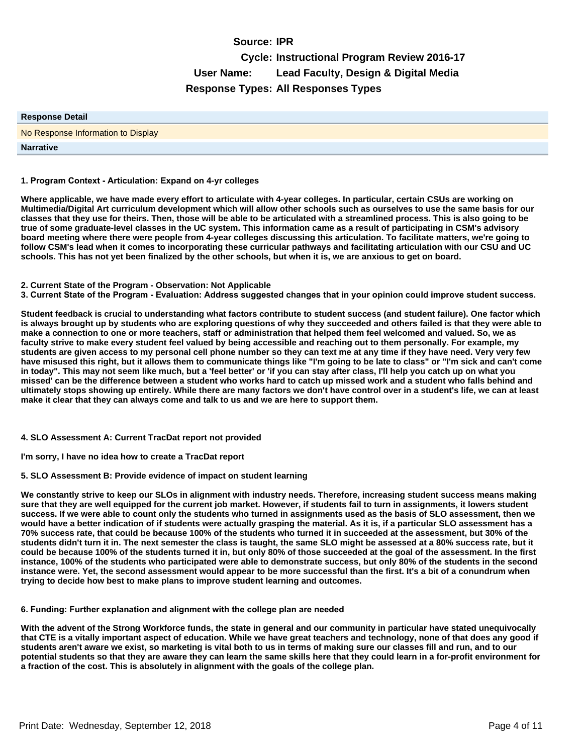# **Source: IPR Cycle: Instructional Program Review 2016-17 User Name: Lead Faculty, Design & Digital Media Response Types: All Responses Types**

| <b>Response Detail</b>             |
|------------------------------------|
| No Response Information to Display |
| <b>Narrative</b>                   |

#### 1. Program Context - Articulation: Expand on 4-yr colleges

**Where applicable, we have made every effort to articulate with 4-year colleges. In particular, certain CSUs are working on Multimedia/Digital Art curriculum development which will allow other schools such as ourselves to use the same basis for our classes that they use for theirs. Then, those will be able to be articulated with a streamlined process. This is also going to be true of some graduate-level classes in the UC system. This information came as a result of participating in CSM's advisory board meeting where there were people from 4-year colleges discussing this articulation. To facilitate matters, we're going to follow CSM's lead when it comes to incorporating these curricular pathways and facilitating articulation with our CSU and UC schools. This has not yet been finalized by the other schools, but when it is, we are anxious to get on board.**

#### **2. Current State of the Program - Observation: Not Applicable**

3. Current State of the Program - Evaluation: Address suggested changes that in your opinion could improve student success.

**Student feedback is crucial to understanding what factors contribute to student success (and student failure). One factor which is always brought up by students who are exploring questions of why they succeeded and others failed is that they were able to make a connection to one or more teachers, staff or administration that helped them feel welcomed and valued. So, we as faculty strive to make every student feel valued by being accessible and reaching out to them personally. For example, my students are given access to my personal cell phone number so they can text me at any time if they have need. Very very few have misused this right, but it allows them to communicate things like "I'm going to be late to class" or "I'm sick and can't come in today". This may not seem like much, but a 'feel better' or 'if you can stay after class, I'll help you catch up on what you missed' can be the difference between a student who works hard to catch up missed work and a student who falls behind and ultimately stops showing up entirely. While there are many factors we don't have control over in a student's life, we can at least make it clear that they can always come and talk to us and we are here to support them.**

### **4. SLO Assessment A: Current TracDat report not provided**

**I'm sorry, I have no idea how to create a TracDat report**

### **5. SLO Assessment B: Provide evidence of impact on student learning**

**We constantly strive to keep our SLOs in alignment with industry needs. Therefore, increasing student success means making sure that they are well equipped for the current job market. However, if students fail to turn in assignments, it lowers student success. If we were able to count only the students who turned in assignments used as the basis of SLO assessment, then we would have a better indication of if students were actually grasping the material. As it is, if a particular SLO assessment has a 70% success rate, that could be because 100% of the students who turned it in succeeded at the assessment, but 30% of the students didn't turn it in. The next semester the class is taught, the same SLO might be assessed at a 80% success rate, but it could be because 100% of the students turned it in, but only 80% of those succeeded at the goal of the assessment. In the first instance, 100% of the students who participated were able to demonstrate success, but only 80% of the students in the second instance were. Yet, the second assessment would appear to be more successful than the first. It's a bit of a conundrum when trying to decide how best to make plans to improve student learning and outcomes.** 

#### **6**. Funding: Further explanation and alignment with the college plan are needed

**With the advent of the Strong Workforce funds, the state in general and our community in particular have stated unequivocally that CTE is a vitally important aspect of education. While we have great teachers and technology, none of that does any good if students aren't aware we exist, so marketing is vital both to us in terms of making sure our classes fill and run, and to our potential students so that they are aware they can learn the same skills here that they could learn in a for-profit environment for a fraction of the cost. This is absolutely in alignment with the goals of the college plan.**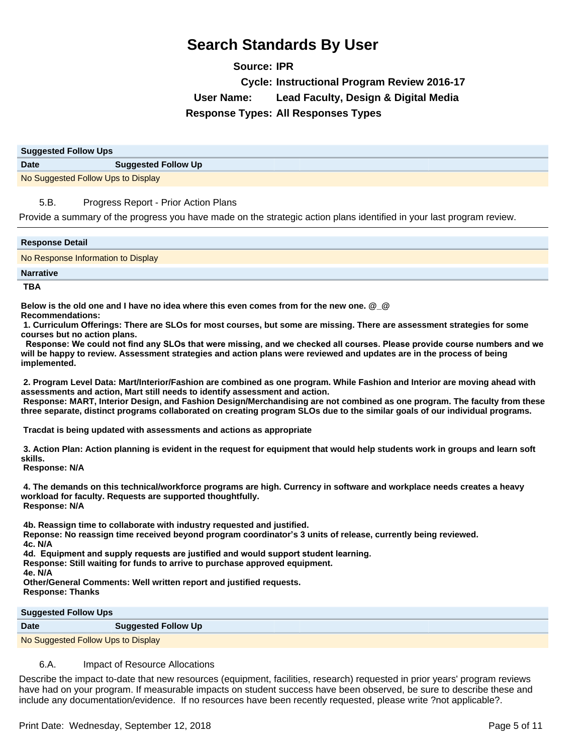**Source: IPR Cycle: Instructional Program Review 2016-17 User Name: Lead Faculty, Design & Digital Media Response Types: All Responses Types**

| <b>Suggested Follow Ups</b>        |                            |
|------------------------------------|----------------------------|
| <b>Date</b>                        | <b>Suggested Follow Up</b> |
| No Suggested Follow Ups to Display |                            |

# 5.B. Progress Report - Prior Action Plans

Provide a summary of the progress you have made on the strategic action plans identified in your last program review.

| <b>Response Detail</b>             |
|------------------------------------|
| No Response Information to Display |
| <b>Narrative</b>                   |

 **TBA**

**Below is the old one and I have no idea where this even comes from for the new one. @\_@ Recommendations:**

**1. Curriculum Offerings: There are SLOs for most courses, but some are missing. There are assessment strategies for some courses but no action plans.**

Response: We could not find any SLOs that were missing, and we checked all courses. Please provide course numbers and we **will be happy to review. Assessment strategies and action plans were reviewed and updates are in the process of being implemented.** 

**2. Program Level Data: Mart/Interior/Fashion are combined as one program. While Fashion and Interior are moving ahead with assessments and action, Mart still needs to identify assessment and action. Response: MART, Interior Design, and Fashion Design/Merchandising are not combined as one program. The faculty from these three separate, distinct programs collaborated on creating program SLOs due to the similar goals of our individual programs.**

 **Tracdat is being updated with assessments and actions as appropriate**

**3. Action Plan: Action planning is evident in the request for equipment that would help students work in groups and learn soft skills.**

 **Response: N/A**

**4. The demands on this technical/workforce programs are high. Currency in software and workplace needs creates a heavy workload for faculty. Requests are supported thoughtfully. Response: N/A**

**4b. Reassign time to collaborate with industry requested and justified.**

 **Reponse: No reassign time received beyond program coordinator¶s 3 units of release, currently being reviewed.**

**4c. N/A**

**4d. Equipment and supply requests are justified and would support student learning.** 

 **Response: Still waiting for funds to arrive to purchase approved equipment.**

**4e. N/A**

 **Other/General Comments: Well written report and justified requests. Response: Thanks** 

**Suggested Follow Ups**

| <b>Date</b>                        | <b>Suggested Follow Up</b> |
|------------------------------------|----------------------------|
| No Suggested Follow Ups to Display |                            |

# 6.A. Impact of Resource Allocations

Describe the impact to-date that new resources (equipment, facilities, research) requested in prior years' program reviews have had on your program. If measurable impacts on student success have been observed, be sure to describe these and include any documentation/evidence. If no resources have been recently requested, please write ?not applicable?.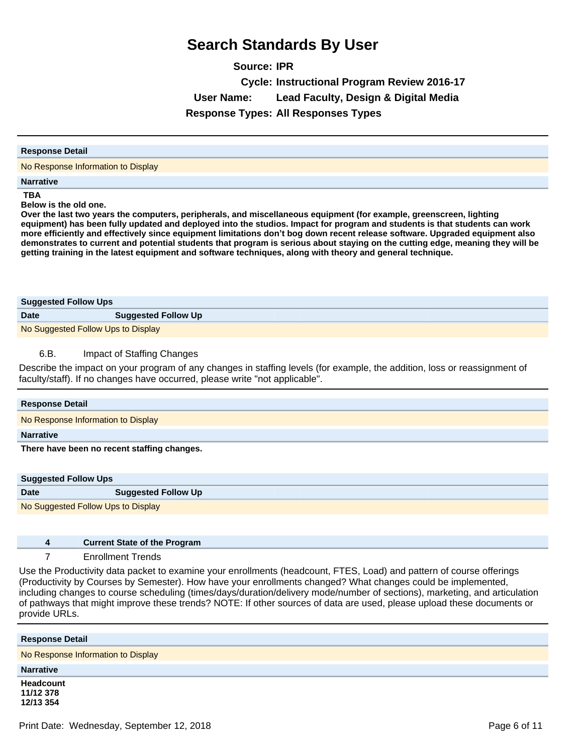**Source: IPR Cycle: Instructional Program Review 2016-17 User Name: Lead Faculty, Design & Digital Media Response Types: All Responses Types**

#### **Response Detail**

No Response Information to Display

#### **Narrative**

 **TBA**

**Below is the old one.**

**Over the last two years the computers, peripherals, and miscellaneous equipment (for example, greenscreen, lighting equipment) has been fully updated and deployed into the studios. Impact for program and students is that students can work more efficiently and effectively since equipment limitations don¶t bog down recent release software. Upgraded equipment also demonstrates to current and potential students that program is serious about staying on the cutting edge, meaning they will be getting training in the latest equipment and software techniques, along with theory and general technique.**

| <b>Suggested Follow Ups</b>        |                            |  |
|------------------------------------|----------------------------|--|
| <b>Date</b>                        | <b>Suggested Follow Up</b> |  |
| No Suggested Follow Ups to Display |                            |  |

# 6.B. Impact of Staffing Changes

Describe the impact on your program of any changes in staffing levels (for example, the addition, loss or reassignment of faculty/staff). If no changes have occurred, please write "not applicable".

| <b>Suggested Follow Ups</b>        |                            |  |
|------------------------------------|----------------------------|--|
| <b>Date</b>                        | <b>Suggested Follow Up</b> |  |
| No Suggested Follow Ups to Display |                            |  |

| <b>Current State of the Program</b> |
|-------------------------------------|
| <b>Enrollment Trends</b>            |

Use the Productivity data packet to examine your enrollments (headcount, FTES, Load) and pattern of course offerings (Productivity by Courses by Semester). How have your enrollments changed? What changes could be implemented, including changes to course scheduling (times/days/duration/delivery mode/number of sections), marketing, and articulation of pathways that might improve these trends? NOTE: If other sources of data are used, please upload these documents or provide URLs.

| <b>Response Detail</b>              |
|-------------------------------------|
| No Response Information to Display  |
| <b>Narrative</b>                    |
| Headcount<br>11/12 378<br>12/13 354 |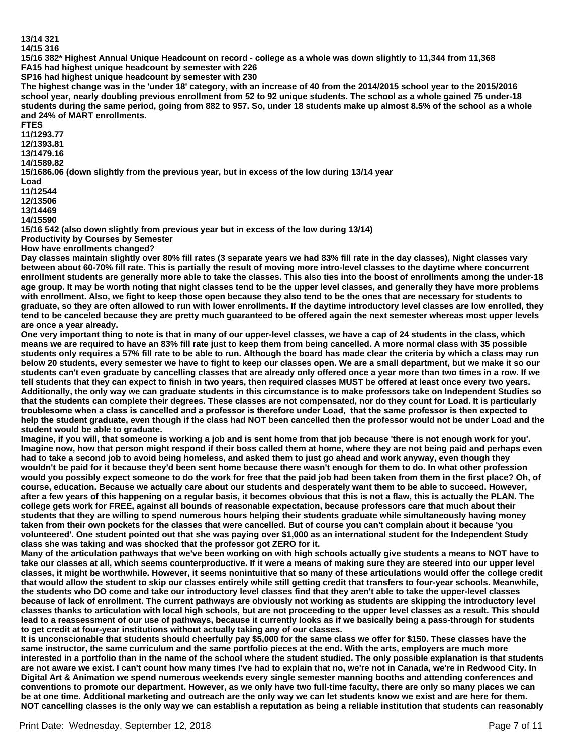**13/14 321**

#### **14/15 316**

**15/16 382\* Highest Annual Unique Headcount on record - college as a whole was down slightly to 11,344 from 11,368**

**FA15 had highest unique headcount by semester with 226 SP16 had highest unique headcount by semester with 230**

**The highest change was in the 'under 18' category, with an increase of 40 from the 2014/2015 school year to the 2015/2016 school year, nearly doubling previous enrollment from 52 to 92 unique students. The school as a whole gained 75 under-18 students during the same period, going from 882 to 957. So, under 18 students make up almost 8.5% of the school as a whole and 24% of MART enrollments.**

**FTES** 

**11/1293.77**

**12/1393.81**

**13/1479.16 14/1589.82**

**15/1686.06 (down slightly from the previous year, but in excess of the low during 13/14 year**

**Load**

**11/12544**

**12/13506**

**13/14469**

**14/15590**

**15/16 542 (also down slightly from previous year but in excess of the low during 13/14) Productivity by Courses by Semester**

**How have enrollments changed?**

**Day classes maintain slightly over 80% fill rates (3 separate years we had 83% fill rate in the day classes), Night classes vary between about 60-70% fill rate. This is partially the result of moving more intro-level classes to the daytime where concurrent enrollment students are generally more able to take the classes. This also ties into the boost of enrollments among the under-18 age group. It may be worth noting that night classes tend to be the upper level classes, and generally they have more problems with enrollment. Also, we fight to keep those open because they also tend to be the ones that are necessary for students to graduate, so they are often allowed to run with lower enrollments. If the daytime introductory level classes are low enrolled, they tend to be canceled because they are pretty much guaranteed to be offered again the next semester whereas most upper levels are once a year already.**

**One very important thing to note is that in many of our upper-level classes, we have a cap of 24 students in the class, which means we are required to have an 83% fill rate just to keep them from being cancelled. A more normal class with 35 possible students only requires a 57% fill rate to be able to run. Although the board has made clear the criteria by which a class may run below 20 students, every semester we have to fight to keep our classes open. We are a small department, but we make it so our students can't even graduate by cancelling classes that are already only offered once a year more than two times in a row. If we tell students that they can expect to finish in two years, then required classes MUST be offered at least once every two years. Additionally, the only way we can graduate students in this circumstance is to make professors take on Independent Studies so that the students can complete their degrees. These classes are not compensated, nor do they count for Load. It is particularly**  troublesome when a class is cancelled and a professor is therefore under Load, that the same professor is then expected to **help the student graduate, even though if the class had NOT been cancelled then the professor would not be under Load and the student would be able to graduate.** 

**Imagine, if you will, that someone is working a job and is sent home from that job because 'there is not enough work for you'. Imagine now, how that person might respond if their boss called them at home, where they are not being paid and perhaps even had to take a second job to avoid being homeless, and asked them to just go ahead and work anyway, even though they wouldn't be paid for it because they'd been sent home because there wasn't enough for them to do. In what other profession would you possibly expect someone to do the work for free that the paid job had been taken from them in the first place? Oh, of course, education. Because we actually care about our students and desperately want them to be able to succeed. However, after a few years of this happening on a regular basis, it becomes obvious that this is not a flaw, this is actually the PLAN. The college gets work for FREE, against all bounds of reasonable expectation, because professors care that much about their students that they are willing to spend numerous hours helping their students graduate while simultaneously having money taken from their own pockets for the classes that were cancelled. But of course you can't complain about it because 'you volunteered'. One student pointed out that she was paying over \$1,000 as an international student for the Independent Study class she was taking and was shocked that the professor got ZERO for it.**

**Many of the articulation pathways that we've been working on with high schools actually give students a means to NOT have to take our classes at all, which seems counterproductive. If it were a means of making sure they are steered into our upper level classes, it might be worthwhile. However, it seems nonintuitive that so many of these articulations would offer the college credit that would allow the student to skip our classes entirely while still getting credit that transfers to four-year schools. Meanwhile, the students who DO come and take our introductory level classes find that they aren't able to take the upper-level classes because of lack of enrollment. The current pathways are obviously not working as students are skipping the introductory level classes thanks to articulation with local high schools, but are not proceeding to the upper level classes as a result. This should lead to a reassessment of our use of pathways, because it currently looks as if we basically being a pass-through for students to get credit at four-year institutions without actually taking any of our classes.**

**It is unconscionable that students should cheerfully pay \$5,000 for the same class we offer for \$150. These classes have the same instructor, the same curriculum and the same portfolio pieces at the end. With the arts, employers are much more interested in a portfolio than in the name of the school where the student studied. The only possible explanation is that students are not aware we exist. I can't count how many times I've had to explain that no, we're not in Canada, we're in Redwood City. In Digital Art & Animation we spend numerous weekends every single semester manning booths and attending conferences and conventions to promote our department. However, as we only have two full-time faculty, there are only so many places we can be at one time. Additional marketing and outreach are the only way we can let students know we exist and are here for them. NOT cancelling classes is the only way we can establish a reputation as being a reliable institution that students can reasonably**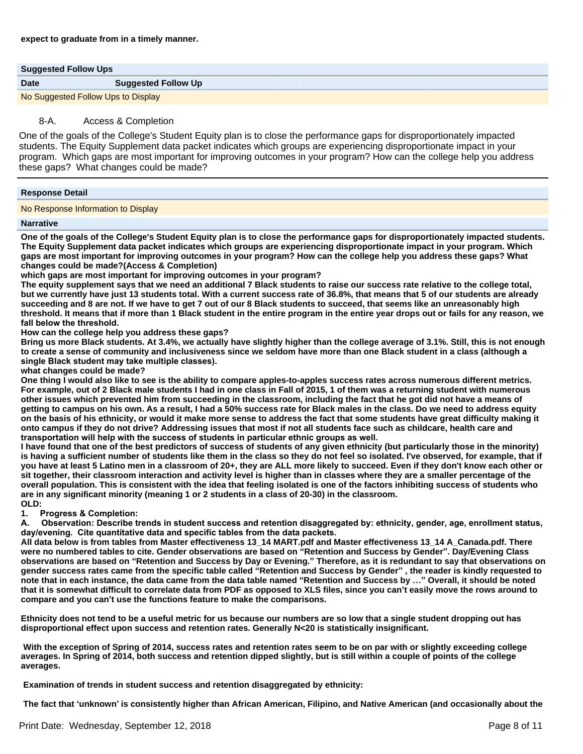| <b>Suggested Follow Ups</b>        |                            |  |
|------------------------------------|----------------------------|--|
| <b>Date</b>                        | <b>Suggested Follow Up</b> |  |
| No Suggested Follow Ups to Display |                            |  |

# 8-A. Access & Completion

One of the goals of the College's Student Equity plan is to close the performance gaps for disproportionately impacted students. The Equity Supplement data packet indicates which groups are experiencing disproportionate impact in your program. Which gaps are most important for improving outcomes in your program? How can the college help you address these gaps? What changes could be made?

### **Response Detail**

No Response Information to Display

#### **Narrative**

**One of the goals of the College's Student Equity plan is to close the performance gaps for disproportionately impacted students. The Equity Supplement data packet indicates which groups are experiencing disproportionate impact in your program. Which gaps are most important for improving outcomes in your program? How can the college help you address these gaps? What changes could be made?(Access & Completion)**

**which gaps are most important for improving outcomes in your program?**

**The equity supplement says that we need an additional 7 Black students to raise our success rate relative to the college total, but we currently have just 13 students total. With a current success rate of 36.8%, that means that 5 of our students are already succeeding and 8 are not. If we have to get 7 out of our 8 Black students to succeed, that seems like an unreasonably high threshold. It means that if more than 1 Black student in the entire program in the entire year drops out or fails for any reason, we**  fall below the threshold.

**How can the college help you address these gaps?**

**Bring us more Black students. At 3.4%, we actually have slightly higher than the college average of 3.1%. Still, this is not enough to create a sense of community and inclusiveness since we seldom have more than one Black student in a class (although a**  single Black student may take multiple classes).

**what changes could be made?**

**One thing I would also like to see is the ability to compare apples-to-apples success rates across numerous different metrics. For example, out of 2 Black male students I had in one class in Fall of 2015, 1 of them was a returning student with numerous other issues which prevented him from succeeding in the classroom, including the fact that he got did not have a means of getting to campus on his own. As a result, I had a 50% success rate for Black males in the class. Do we need to address equity on the basis of his ethnicity, or would it make more sense to address the fact that some students have great difficulty making it onto campus if they do not drive? Addressing issues that most if not all students face such as childcare, health care and**  transportation will help with the success of students in particular ethnic groups as well.

**I have found that one of the best predictors of success of students of any given ethnicity (but particularly those in the minority)**  is having a sufficient number of students like them in the class so they do not feel so isolated. I've observed, for example, that if **you have at least 5 Latino men in a classroom of 20+, they are ALL more likely to succeed. Even if they don't know each other or sit together, their classroom interaction and activity level is higher than in classes where they are a smaller percentage of the overall population. This is consistent with the idea that feeling isolated is one of the factors inhibiting success of students who are in any significant minority (meaning 1 or 2 students in a class of 20-30) in the classroom. OLD:**

**1.** Progress & Completion:

A. Observation: Describe trends in student success and retention disaggregated by: ethnicity, gender, age, enrollment status, day/evening. Cite quantitative data and specific tables from the data packets.

**All data below is from tables from Master effectiveness 13\_14 MART.pdf and Master effectiveness 13\_14 A\_Canada.pdf. There were no numbered tables to cite. Gender observations are based on ³Retention and Success by Gender´Day/Evening Class observations are based on ³Retention and Success by Day or Evening.´Therefore, as it is redundant to say that observations on gender success rates came from the specific table called ³Retention and Success by Gender´the reader is kindly requested to note that in each instance, the data came from the data table named ³Retention and Success by «´Overall, it should be noted that it is somewhat difficult to correlate data from PDF as opposed to XLS files, since you can¶t easily move the rows around to compare and you can¶t use the functions feature to make the comparisons.** 

**Ethnicity does not tend to be a useful metric for us because our numbers are so low that a single student dropping out has disproportional effect upon success and retention rates. Generally N<20 is statistically insignificant.** 

 **With the exception of Spring of 2014, success rates and retention rates seem to be on par with or slightly exceeding college averages. In Spring of 2014, both success and retention dipped slightly, but is still within a couple of points of the college averages.**

 **Examination of trends in student success and retention disaggregated by ethnicity:** 

 **The fact that µunknown¶is consistently higher than African American, Filipino, and Native American (and occasionally about the**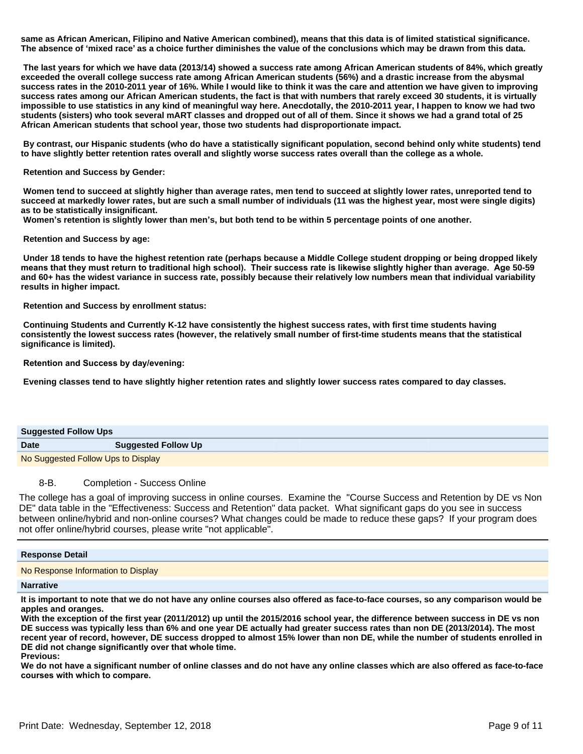**same as African American, Filipino and Native American combined), means that this data is of limited statistical significance. The absence of µmixed race¶as a choice further diminishes the value of the conclusions which may be drawn from this data.** 

 **The last years for which we have data (2013/14) showed a success rate among African American students of 84%, which greatly exceeded the overall college success rate among African American students (56%) and a drastic increase from the abysmal success rates in the 2010-2011 year of 16%. While I would like to think it was the care and attention we have given to improving success rates among our African American students, the fact is that with numbers that rarely exceed 30 students, it is virtually impossible to use statistics in any kind of meaningful way here. Anecdotally, the 2010-2011 year, I happen to know we had two students (sisters) who took several mART classes and dropped out of all of them. Since it shows we had a grand total of 25 African American students that school year, those two students had disproportionate impact.** 

 **By contrast, our Hispanic students (who do have a statistically significant population, second behind only white students) tend to have slightly better retention rates overall and slightly worse success rates overall than the college as a whole.**

 **Retention and Success by Gender:** 

 **Women tend to succeed at slightly higher than average rates, men tend to succeed at slightly lower rates, unreported tend to succeed at markedly lower rates, but are such a small number of individuals (11 was the highest year, most were single digits) as to be statistically insignificant.**

**Women's retention is slightly lower than men's, but both tend to be within 5 percentage points of one another.** 

 **Retention and Success by age:** 

 **Under 18 tends to have the highest retention rate (perhaps because a Middle College student dropping or being dropped likely**  means that they must return to traditional high school). Their success rate is likewise slightly higher than average. Age 50-59 **and 60+ has the widest variance in success rate, possibly because their relatively low numbers mean that individual variability results in higher impact.** 

 **Retention and Success by enrollment status:** 

 **Continuing Students and Currently K-12 have consistently the highest success rates, with first time students having consistently the lowest success rates (however, the relatively small number of first-time students means that the statistical significance is limited).** 

**Retention and Success by day/evening:** 

 **Evening classes tend to have slightly higher retention rates and slightly lower success rates compared to day classes.**

| <b>Suggested Follow Ups</b>        |                            |
|------------------------------------|----------------------------|
| <b>Date</b>                        | <b>Suggested Follow Up</b> |
| No Suggested Follow Ups to Display |                            |

# 8-B. Completion - Success Online

The college has a goal of improving success in online courses. Examine the "Course Success and Retention by DE vs Non DE" data table in the "Effectiveness: Success and Retention" data packet. What significant gaps do you see in success between online/hybrid and non-online courses? What changes could be made to reduce these gaps? If your program does not offer online/hybrid courses, please write "not applicable".

# **Response Detail** No Response Information to Display

**Narrative**

**It is important to note that we do not have any online courses also offered as face-to-face courses, so any comparison would be apples and oranges.** 

**With the exception of the first year (2011/2012) up until the 2015/2016 school year, the difference between success in DE vs non DE success was typically less than 6% and one year DE actually had greater success rates than non DE (2013/2014). The most recent year of record, however, DE success dropped to almost 15% lower than non DE, while the number of students enrolled in**  DE did not change significantly over that whole time.

**Previous:**

**We do not have a significant number of online classes and do not have any online classes which are also offered as face-to-face**  courses with which to compare.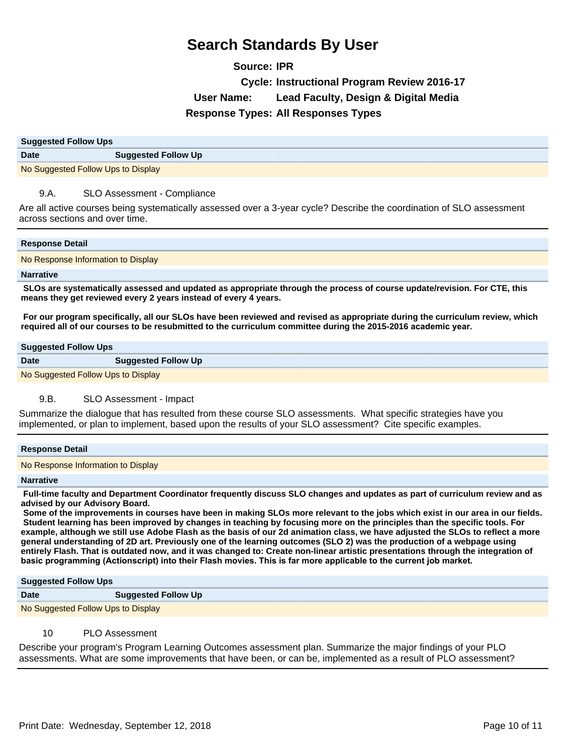**Source: IPR Cycle: Instructional Program Review 2016-17 User Name: Lead Faculty, Design & Digital Media Response Types: All Responses Types**

| <b>Suggested Follow Ups</b>        |                            |
|------------------------------------|----------------------------|
| <b>Date</b>                        | <b>Suggested Follow Up</b> |
| No Suggested Follow Ups to Display |                            |

# 9.A. SLO Assessment - Compliance

Are all active courses being systematically assessed over a 3-year cycle? Describe the coordination of SLO assessment across sections and over time.

# **Response Detail**

No Response Information to Display

#### **Narrative**

 **SLOs are systematically assessed and updated as appropriate through the process of course update/revision. For CTE, this means they get reviewed every 2 years instead of every 4 years.** 

 **For our program specifically, all our SLOs have been reviewed and revised as appropriate during the curriculum review, which**  required all of our courses to be resubmitted to the curriculum committee during the 2015-2016 academic year.

#### **Suggested Follow Ups**

| <b>Date</b>                        | <b>Suggested Follow Up</b> |  |
|------------------------------------|----------------------------|--|
| No Suggested Follow Ups to Display |                            |  |

# 9.B. SLO Assessment - Impact

Summarize the dialogue that has resulted from these course SLO assessments. What specific strategies have you implemented, or plan to implement, based upon the results of your SLO assessment? Cite specific examples.

### **Response Detail**

No Response Information to Display

#### **Narrative**

 **Full-time faculty and Department Coordinator frequently discuss SLO changes and updates as part of curriculum review and as advised by our Advisory Board.**

 **Some of the improvements in courses have been in making SLOs more relevant to the jobs which exist in our area in our fields. Student learning has been improved by changes in teaching by focusing more on the principles than the specific tools. For example, although we still use Adobe Flash as the basis of our 2d animation class, we have adjusted the SLOs to reflect a more general understanding of 2D art. Previously one of the learning outcomes (SLO 2) was the production of a webpage using entirely Flash. That is outdated now, and it was changed to: Create non-linear artistic presentations through the integration of**  basic programming (Actionscript) into their Flash movies. This is far more applicable to the current job market.

#### **Suggested Follow Ups**

| <b>Date</b>                        | <b>Suggested Follow Up</b> |  |
|------------------------------------|----------------------------|--|
| No Suggested Follow Ups to Display |                            |  |

# 10 PLO Assessment

Describe your program's Program Learning Outcomes assessment plan. Summarize the major findings of your PLO assessments. What are some improvements that have been, or can be, implemented as a result of PLO assessment?